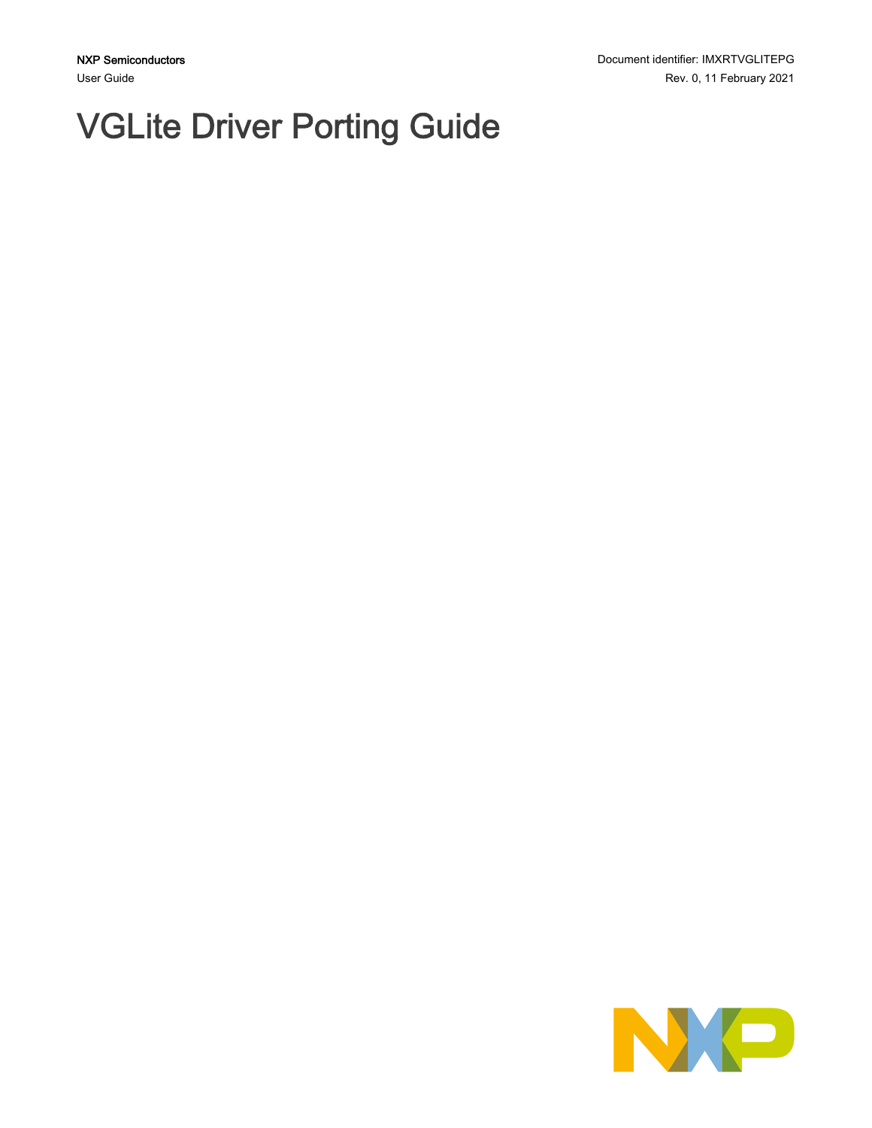# VGLite Driver Porting Guide

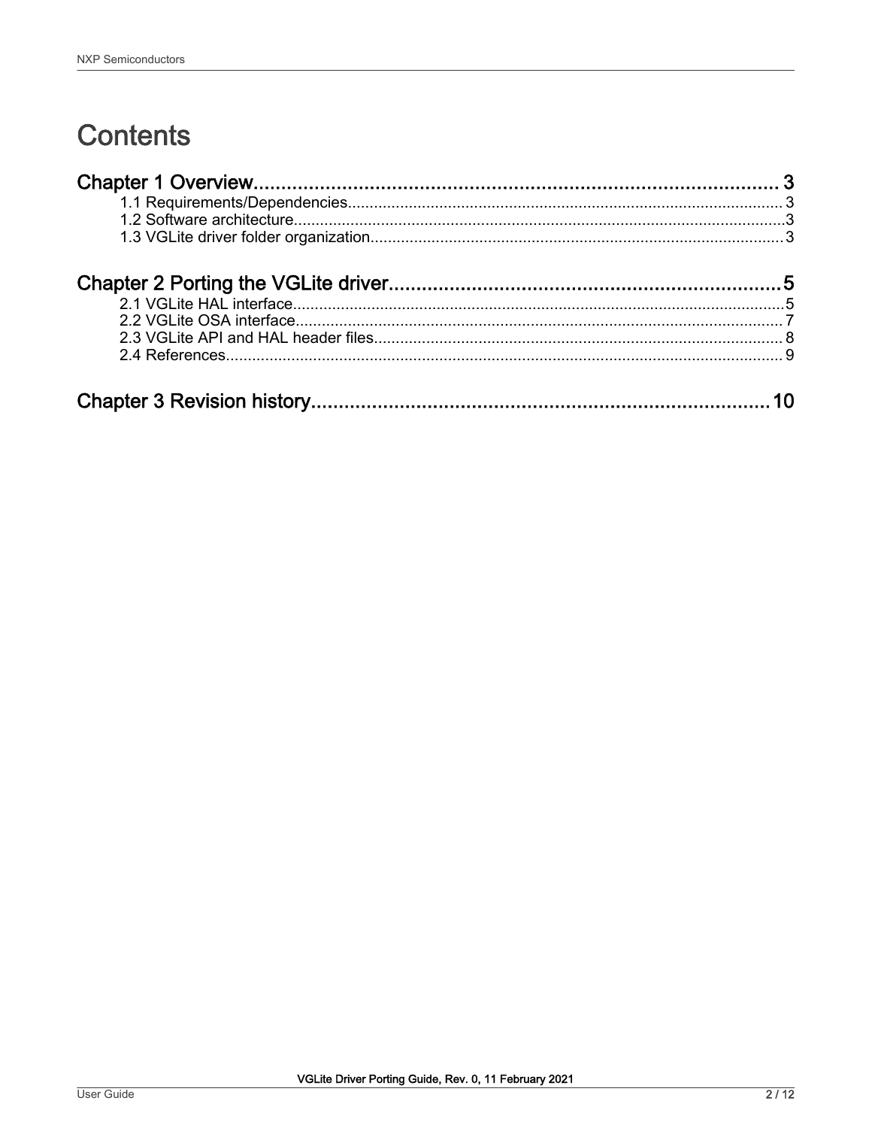# **Contents**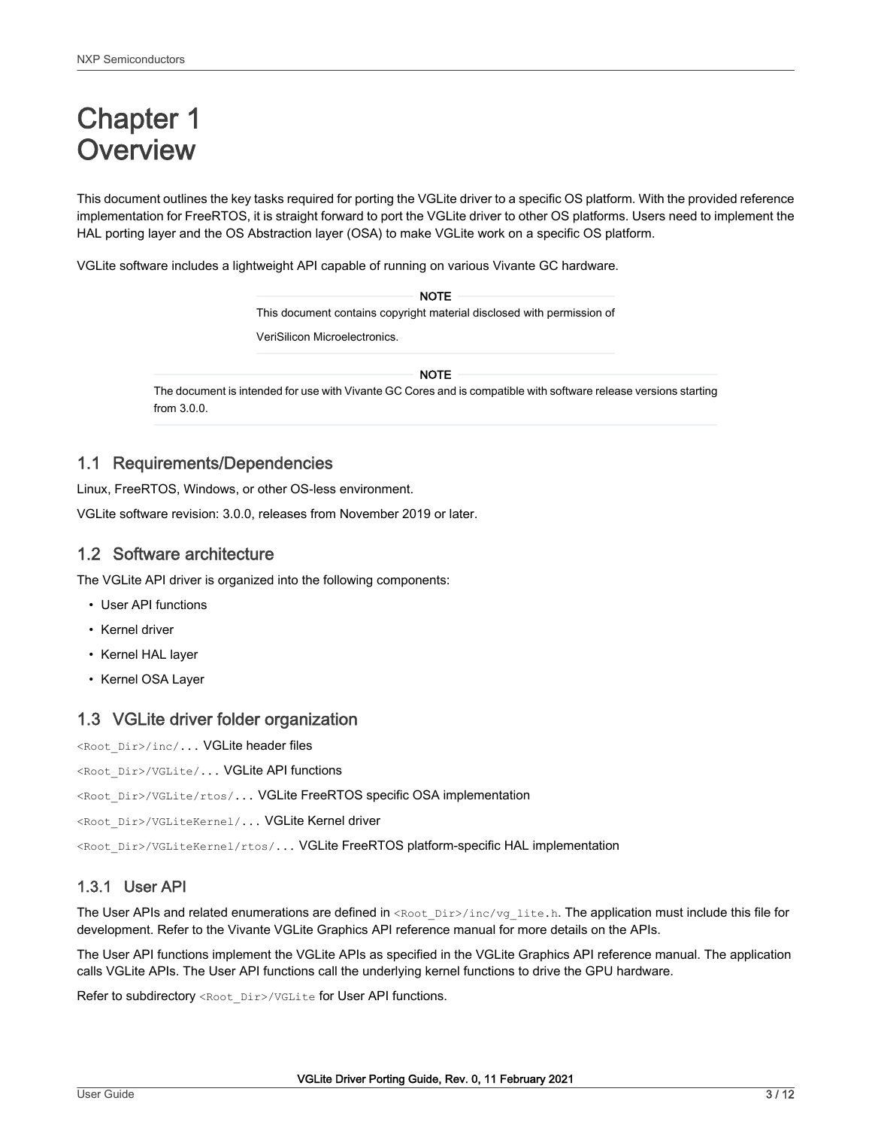# <span id="page-2-0"></span>Chapter 1 **Overview**

This document outlines the key tasks required for porting the VGLite driver to a specific OS platform. With the provided reference implementation for FreeRTOS, it is straight forward to port the VGLite driver to other OS platforms. Users need to implement the HAL porting layer and the OS Abstraction layer (OSA) to make VGLite work on a specific OS platform.

VGLite software includes a lightweight API capable of running on various Vivante GC hardware.

| <b>NOTE</b>                                                            |
|------------------------------------------------------------------------|
| This document contains copyright material disclosed with permission of |
| VeriSilicon Microelectronics.                                          |
|                                                                        |

NOTE

The document is intended for use with Vivante GC Cores and is compatible with software release versions starting from 3.0.0.

### 1.1 Requirements/Dependencies

Linux, FreeRTOS, Windows, or other OS-less environment.

VGLite software revision: 3.0.0, releases from November 2019 or later.

# 1.2 Software architecture

The VGLite API driver is organized into the following components:

- User API functions
- Kernel driver
- Kernel HAL layer
- Kernel OSA Layer

### 1.3 VGLite driver folder organization

<Root\_Dir>/inc/... VGLite header files

<Root\_Dir>/VGLite/... VGLite API functions

<Root\_Dir>/VGLite/rtos/... VGLite FreeRTOS specific OSA implementation

<Root\_Dir>/VGLiteKernel/... VGLite Kernel driver

<Root\_Dir>/VGLiteKernel/rtos/... VGLite FreeRTOS platform-specific HAL implementation

### 1.3.1 User API

The User APIs and related enumerations are defined in <Root\_Dir>/inc/vg\_lite.h. The application must include this file for development. Refer to the Vivante VGLite Graphics API reference manual for more details on the APIs.

The User API functions implement the VGLite APIs as specified in the VGLite Graphics API reference manual. The application calls VGLite APIs. The User API functions call the underlying kernel functions to drive the GPU hardware.

Refer to subdirectory <Root\_Dir>/VGLite for User API functions.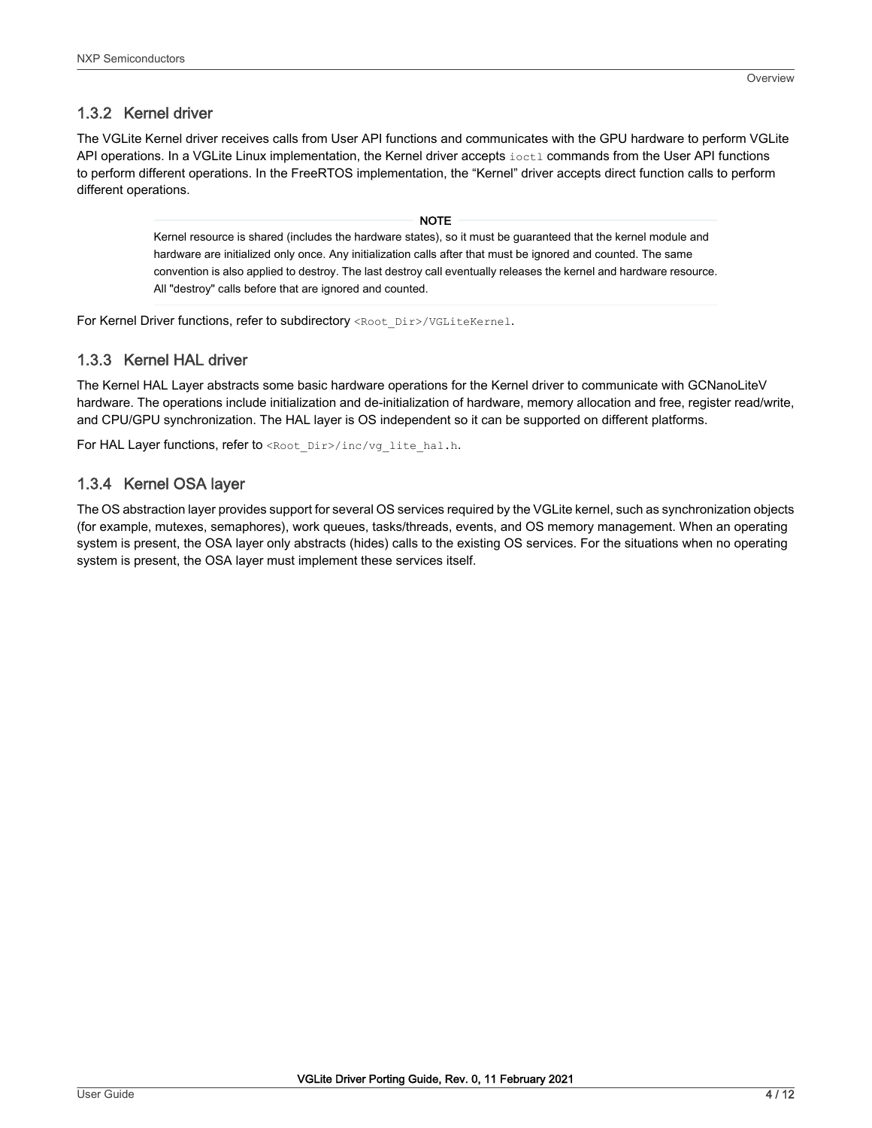# 1.3.2 Kernel driver

The VGLite Kernel driver receives calls from User API functions and communicates with the GPU hardware to perform VGLite API operations. In a VGLite Linux implementation, the Kernel driver accepts ioctl commands from the User API functions to perform different operations. In the FreeRTOS implementation, the "Kernel" driver accepts direct function calls to perform different operations.

> Kernel resource is shared (includes the hardware states), so it must be guaranteed that the kernel module and hardware are initialized only once. Any initialization calls after that must be ignored and counted. The same convention is also applied to destroy. The last destroy call eventually releases the kernel and hardware resource. All "destroy" calls before that are ignored and counted. NOTE

For Kernel Driver functions, refer to subdirectory <Root\_Dir>/VGLiteKernel.

#### 1.3.3 Kernel HAL driver

The Kernel HAL Layer abstracts some basic hardware operations for the Kernel driver to communicate with GCNanoLiteV hardware. The operations include initialization and de-initialization of hardware, memory allocation and free, register read/write, and CPU/GPU synchronization. The HAL layer is OS independent so it can be supported on different platforms.

For HAL Layer functions, refer to <Root\_Dir>/inc/vg\_lite\_hal.h.

### 1.3.4 Kernel OSA layer

The OS abstraction layer provides support for several OS services required by the VGLite kernel, such as synchronization objects (for example, mutexes, semaphores), work queues, tasks/threads, events, and OS memory management. When an operating system is present, the OSA layer only abstracts (hides) calls to the existing OS services. For the situations when no operating system is present, the OSA layer must implement these services itself.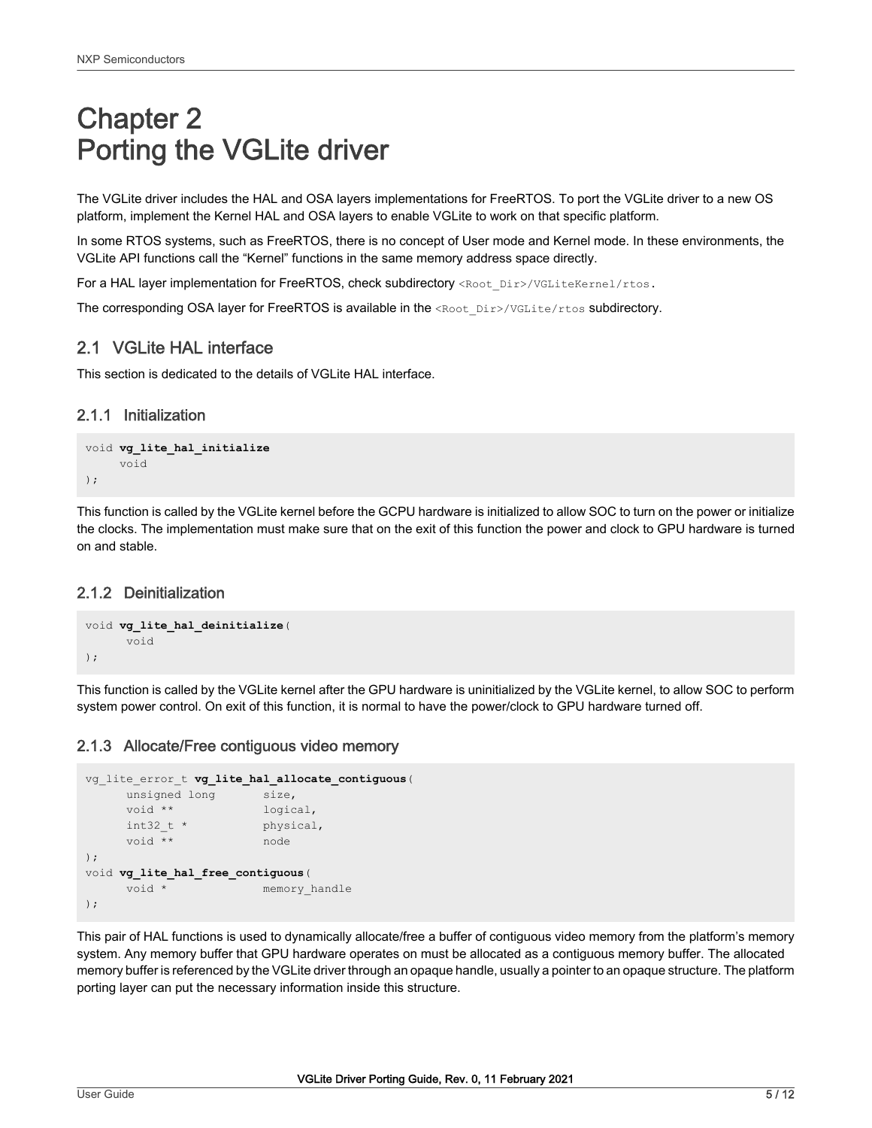# <span id="page-4-0"></span>Chapter 2 Porting the VGLite driver

The VGLite driver includes the HAL and OSA layers implementations for FreeRTOS. To port the VGLite driver to a new OS platform, implement the Kernel HAL and OSA layers to enable VGLite to work on that specific platform.

In some RTOS systems, such as FreeRTOS, there is no concept of User mode and Kernel mode. In these environments, the VGLite API functions call the "Kernel" functions in the same memory address space directly.

For a HAL layer implementation for FreeRTOS, check subdirectory <Root\_Dir>/VGLiteKernel/rtos.

The corresponding OSA layer for FreeRTOS is available in the <Root\_Dir>/VGLite/rtos subdirectory.

# 2.1 VGLite HAL interface

This section is dedicated to the details of VGLite HAL interface.

#### 2.1.1 Initialization

```
void vg_lite_hal_initialize
      void
);
```
This function is called by the VGLite kernel before the GCPU hardware is initialized to allow SOC to turn on the power or initialize the clocks. The implementation must make sure that on the exit of this function the power and clock to GPU hardware is turned on and stable.

### 2.1.2 Deinitialization

```
void vg_lite_hal_deinitialize(
       void
);
```
This function is called by the VGLite kernel after the GPU hardware is uninitialized by the VGLite kernel, to allow SOC to perform system power control. On exit of this function, it is normal to have the power/clock to GPU hardware turned off.

### 2.1.3 Allocate/Free contiguous video memory

```
vg_lite_error_t vg_lite_hal_allocate_contiguous(
    unsigned long size,
     void ** logical,
    int32 t * physical,
     void ** node
);
void vg_lite_hal_free_contiguous(
    void * memory handle
);
```
This pair of HAL functions is used to dynamically allocate/free a buffer of contiguous video memory from the platform's memory system. Any memory buffer that GPU hardware operates on must be allocated as a contiguous memory buffer. The allocated memory buffer is referenced by the VGLite driver through an opaque handle, usually a pointer to an opaque structure. The platform porting layer can put the necessary information inside this structure.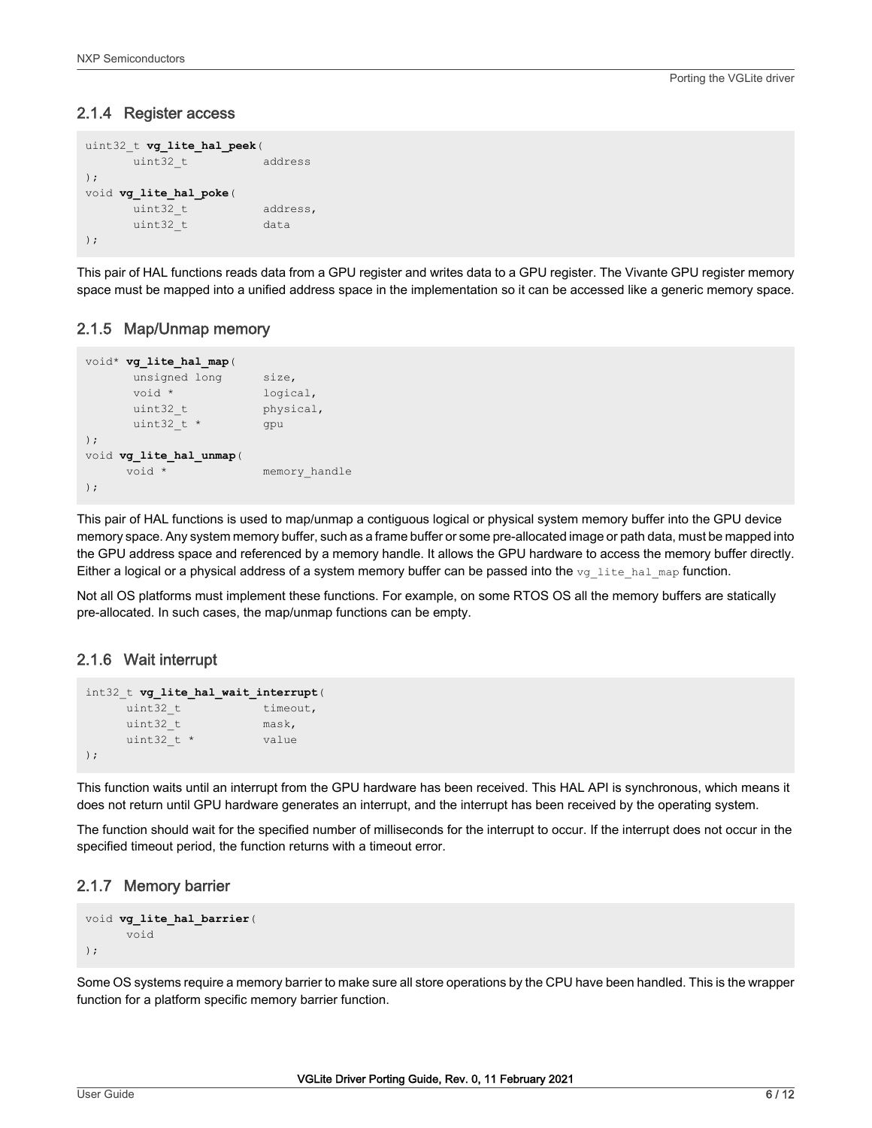#### 2.1.4 Register access

```
uint32_t vg_lite_hal_peek(
     uint32 t address
);
void vg_lite_hal_poke(
     uint32 t address,
     uint32 t data
);
```
This pair of HAL functions reads data from a GPU register and writes data to a GPU register. The Vivante GPU register memory space must be mapped into a unified address space in the implementation so it can be accessed like a generic memory space.

### 2.1.5 Map/Unmap memory

```
void* vg_lite_hal_map(
    unsigned long size,
    void * logical,
    uint32 t physical,
    uint32 t * gpu
);
void vg_lite_hal_unmap(
    void * memory handle
);
```
This pair of HAL functions is used to map/unmap a contiguous logical or physical system memory buffer into the GPU device memory space. Any system memory buffer, such as a frame buffer or some pre-allocated image or path data, must be mapped into the GPU address space and referenced by a memory handle. It allows the GPU hardware to access the memory buffer directly. Either a logical or a physical address of a system memory buffer can be passed into the  $vg$  lite hal map function.

Not all OS platforms must implement these functions. For example, on some RTOS OS all the memory buffers are statically pre-allocated. In such cases, the map/unmap functions can be empty.

# 2.1.6 Wait interrupt

```
int32_t vg_lite_hal_wait_interrupt(
               timeout.
    uint32 t mask,
    uint32 t * value
);
```
This function waits until an interrupt from the GPU hardware has been received. This HAL API is synchronous, which means it does not return until GPU hardware generates an interrupt, and the interrupt has been received by the operating system.

The function should wait for the specified number of milliseconds for the interrupt to occur. If the interrupt does not occur in the specified timeout period, the function returns with a timeout error.

### 2.1.7 Memory barrier

```
void vg_lite_hal_barrier(
       void
);
```
Some OS systems require a memory barrier to make sure all store operations by the CPU have been handled. This is the wrapper function for a platform specific memory barrier function.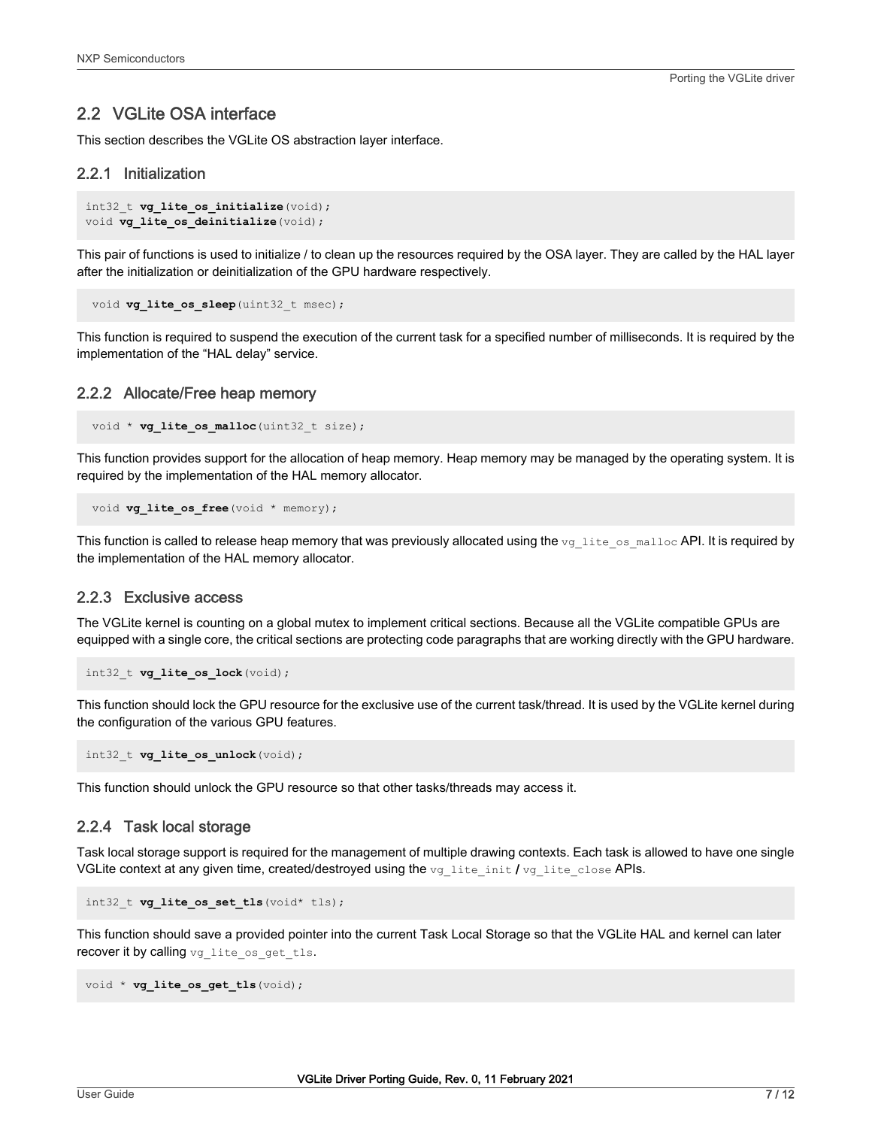### <span id="page-6-0"></span>2.2 VGLite OSA interface

This section describes the VGLite OS abstraction layer interface.

#### 2.2.1 Initialization

```
int32_t vg_lite_os_initialize(void);
void vg lite os deinitialize (void);
```
This pair of functions is used to initialize / to clean up the resources required by the OSA layer. They are called by the HAL layer after the initialization or deinitialization of the GPU hardware respectively.

```
void vg lite os sleep(uint32 t msec);
```
This function is required to suspend the execution of the current task for a specified number of milliseconds. It is required by the implementation of the "HAL delay" service.

#### 2.2.2 Allocate/Free heap memory

void \* **vg lite os malloc**(uint32 t size);

This function provides support for the allocation of heap memory. Heap memory may be managed by the operating system. It is required by the implementation of the HAL memory allocator.

```
void vg lite os free(void * memory);
```
This function is called to release heap memory that was previously allocated using the  $vg$  lite os malloc API. It is required by the implementation of the HAL memory allocator.

#### 2.2.3 Exclusive access

The VGLite kernel is counting on a global mutex to implement critical sections. Because all the VGLite compatible GPUs are equipped with a single core, the critical sections are protecting code paragraphs that are working directly with the GPU hardware.

```
int32_t vg_lite_os_lock(void);
```
This function should lock the GPU resource for the exclusive use of the current task/thread. It is used by the VGLite kernel during the configuration of the various GPU features.

int32 t **vg lite os unlock** (void);

This function should unlock the GPU resource so that other tasks/threads may access it.

#### 2.2.4 Task local storage

Task local storage support is required for the management of multiple drawing contexts. Each task is allowed to have one single VGLite context at any given time, created/destroyed using the vg\_lite\_init / vg\_lite\_close APIs.

```
int32 t vg lite os set tls(void* tls);
```
This function should save a provided pointer into the current Task Local Storage so that the VGLite HAL and kernel can later recover it by calling vg lite os get tls.

```
void * vg lite os get tls (void);
```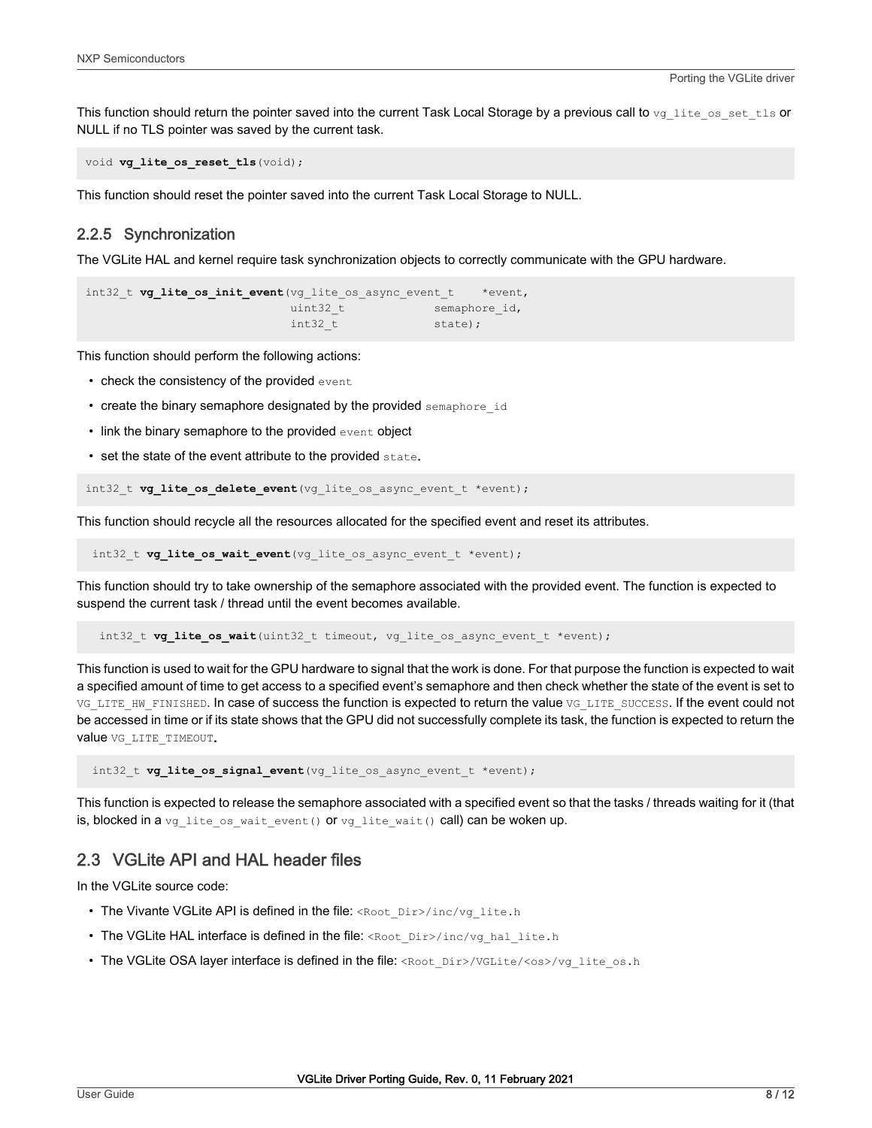<span id="page-7-0"></span>This function should return the pointer saved into the current Task Local Storage by a previous call to  $vq$  lite os set the or NULL if no TLS pointer was saved by the current task.

void **vg** lite os reset tls (void);

This function should reset the pointer saved into the current Task Local Storage to NULL.

#### 2.2.5 Synchronization

The VGLite HAL and kernel require task synchronization objects to correctly communicate with the GPU hardware.

```
int32 t vg lite os init event (vg lite os async event t *event,
                        uint32 t semaphore id,
                        int32 t state);
```
This function should perform the following actions:

- check the consistency of the provided event
- create the binary semaphore designated by the provided semaphore id
- link the binary semaphore to the provided event object
- set the state of the event attribute to the provided state.

int32 t **vg lite os delete event** (vg lite os async event t \*event);

This function should recycle all the resources allocated for the specified event and reset its attributes.

int32\_t **vg\_lite\_os\_wait\_event**(vg\_lite\_os\_async\_event\_t \*event);

This function should try to take ownership of the semaphore associated with the provided event. The function is expected to suspend the current task / thread until the event becomes available.

int32 t **vg lite os wait**(uint32 t timeout, vg lite os async event t \*event);

This function is used to wait for the GPU hardware to signal that the work is done. For that purpose the function is expected to wait a specified amount of time to get access to a specified event's semaphore and then check whether the state of the event is set to VG\_LITE\_HW\_FINISHED. In case of success the function is expected to return the value VG\_LITE\_SUCCESS. If the event could not be accessed in time or if its state shows that the GPU did not successfully complete its task, the function is expected to return the value VG LITE TIMEOUT.

int32 t **vg lite os signal event** (vg lite os async event t \*event);

This function is expected to release the semaphore associated with a specified event so that the tasks / threads waiting for it (that is, blocked in a vg\_lite\_os\_wait\_event() or vg\_lite\_wait() call) can be woken up.

# 2.3 VGLite API and HAL header files

In the VGLite source code:

- The Vivante VGLite API is defined in the file: <Root\_Dir>/inc/vg\_lite.h
- The VGLite HAL interface is defined in the file: <Root\_Dir>/inc/vg\_hal\_lite.h
- The VGLite OSA layer interface is defined in the file: <Root\_Dir>/VGLite/<os>/vg\_lite\_os.h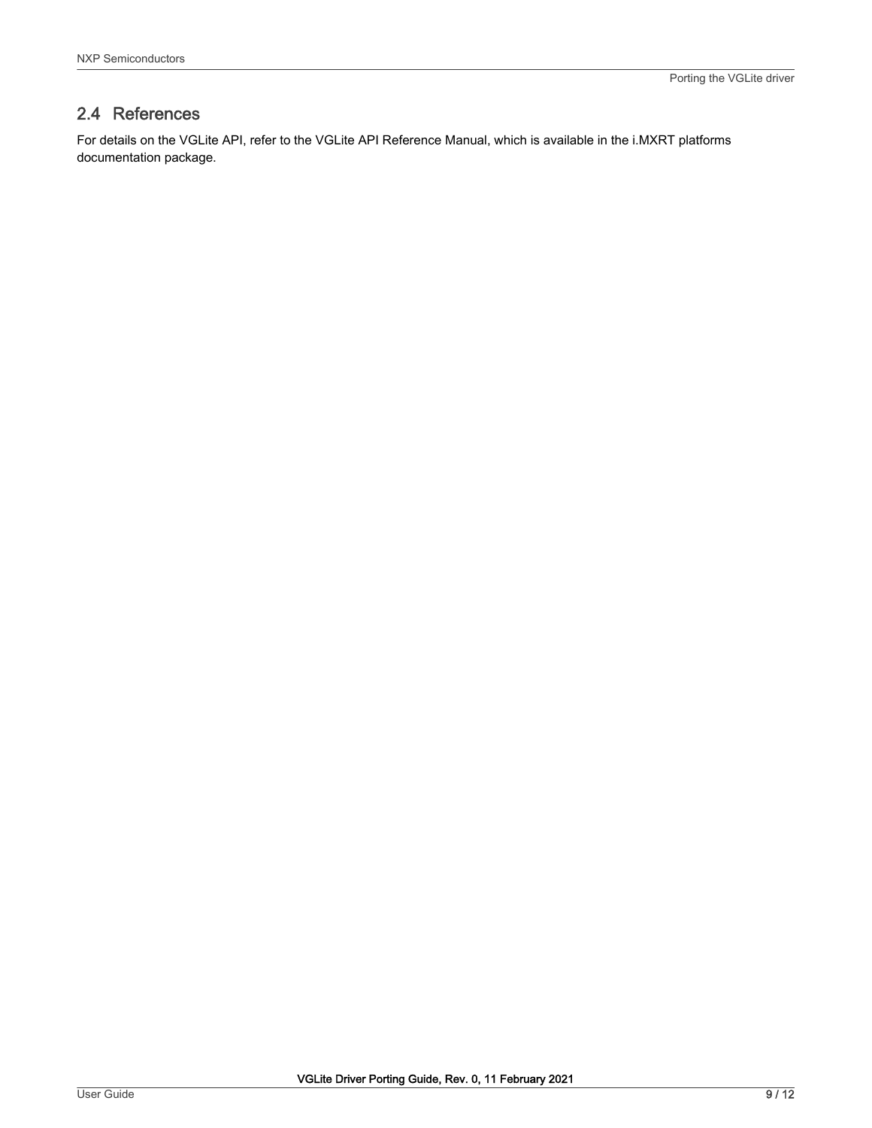# <span id="page-8-0"></span>2.4 References

For details on the VGLite API, refer to the VGLite API Reference Manual, which is available in the i.MXRT platforms documentation package.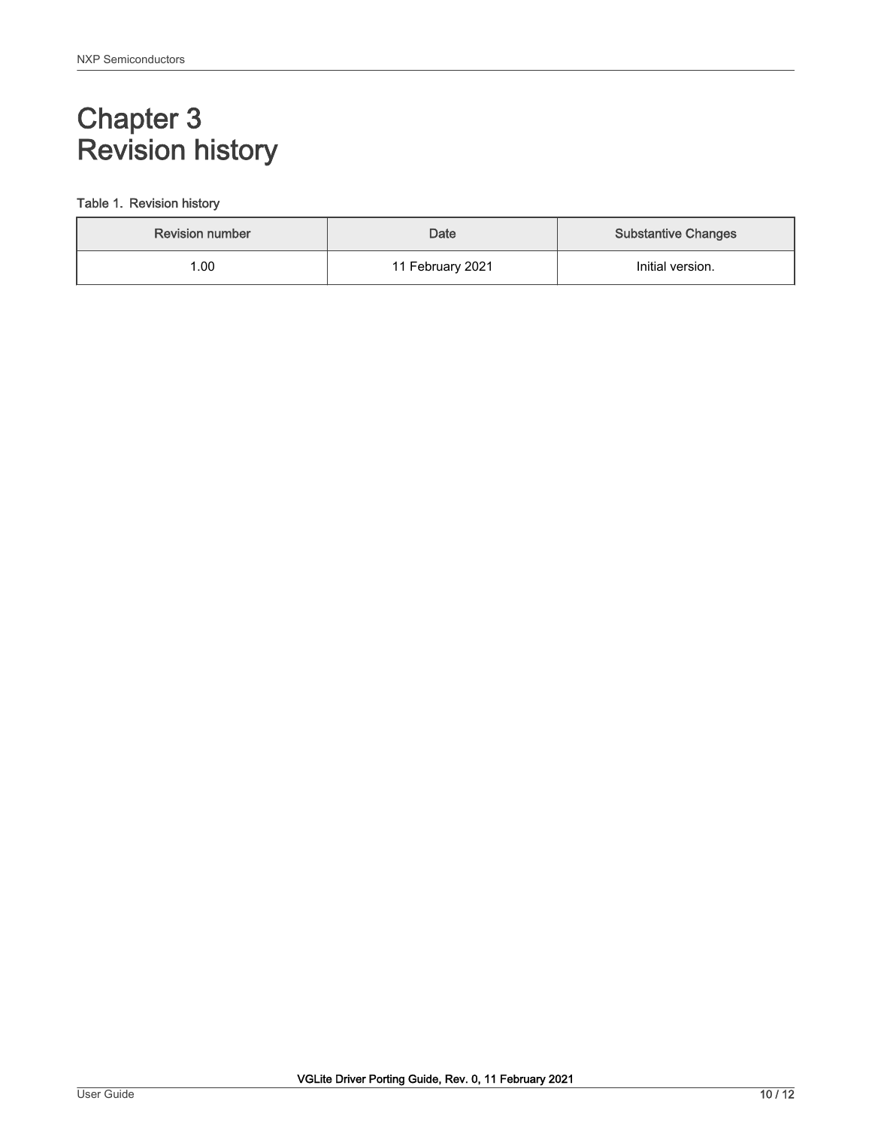# <span id="page-9-0"></span>Chapter 3 Revision history

#### Table 1. Revision history

| <b>Revision number</b> | Date             | <b>Substantive Changes</b> |
|------------------------|------------------|----------------------------|
| .00                    | 11 February 2021 | Initial version.           |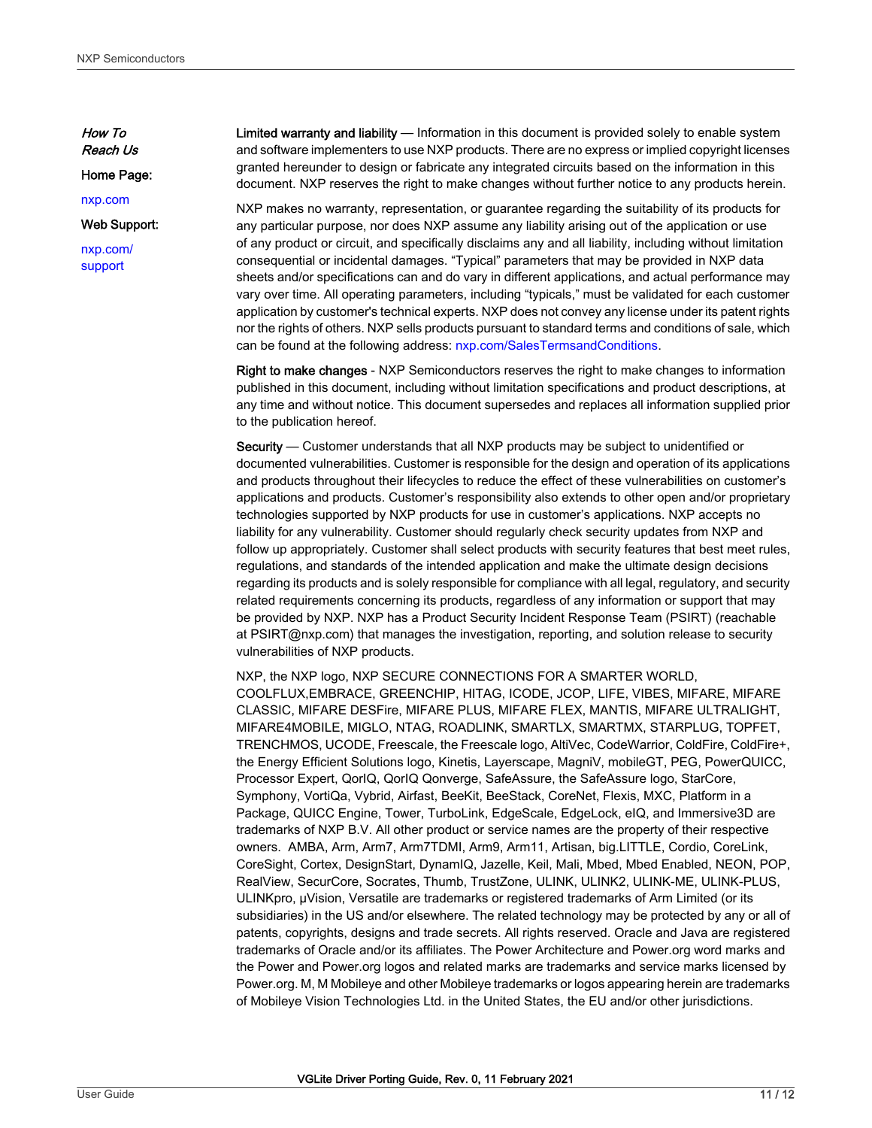How To Reach Us

Home Page:

[nxp.com](http://www.nxp.com)

Web Support:

[nxp.com/](http://www.nxp.com/support) [support](http://www.nxp.com/support)

Limited warranty and liability — Information in this document is provided solely to enable system and software implementers to use NXP products. There are no express or implied copyright licenses granted hereunder to design or fabricate any integrated circuits based on the information in this document. NXP reserves the right to make changes without further notice to any products herein.

NXP makes no warranty, representation, or guarantee regarding the suitability of its products for any particular purpose, nor does NXP assume any liability arising out of the application or use of any product or circuit, and specifically disclaims any and all liability, including without limitation consequential or incidental damages. "Typical" parameters that may be provided in NXP data sheets and/or specifications can and do vary in different applications, and actual performance may vary over time. All operating parameters, including "typicals," must be validated for each customer application by customer's technical experts. NXP does not convey any license under its patent rights nor the rights of others. NXP sells products pursuant to standard terms and conditions of sale, which can be found at the following address: [nxp.com/SalesTermsandConditions](http://www.nxp.com/SalesTermsandConditions).

Right to make changes - NXP Semiconductors reserves the right to make changes to information published in this document, including without limitation specifications and product descriptions, at any time and without notice. This document supersedes and replaces all information supplied prior to the publication hereof.

Security — Customer understands that all NXP products may be subject to unidentified or documented vulnerabilities. Customer is responsible for the design and operation of its applications and products throughout their lifecycles to reduce the effect of these vulnerabilities on customer's applications and products. Customer's responsibility also extends to other open and/or proprietary technologies supported by NXP products for use in customer's applications. NXP accepts no liability for any vulnerability. Customer should regularly check security updates from NXP and follow up appropriately. Customer shall select products with security features that best meet rules, regulations, and standards of the intended application and make the ultimate design decisions regarding its products and is solely responsible for compliance with all legal, regulatory, and security related requirements concerning its products, regardless of any information or support that may be provided by NXP. NXP has a Product Security Incident Response Team (PSIRT) (reachable at PSIRT@nxp.com) that manages the investigation, reporting, and solution release to security vulnerabilities of NXP products.

NXP, the NXP logo, NXP SECURE CONNECTIONS FOR A SMARTER WORLD, COOLFLUX,EMBRACE, GREENCHIP, HITAG, ICODE, JCOP, LIFE, VIBES, MIFARE, MIFARE CLASSIC, MIFARE DESFire, MIFARE PLUS, MIFARE FLEX, MANTIS, MIFARE ULTRALIGHT, MIFARE4MOBILE, MIGLO, NTAG, ROADLINK, SMARTLX, SMARTMX, STARPLUG, TOPFET, TRENCHMOS, UCODE, Freescale, the Freescale logo, AltiVec, CodeWarrior, ColdFire, ColdFire+, the Energy Efficient Solutions logo, Kinetis, Layerscape, MagniV, mobileGT, PEG, PowerQUICC, Processor Expert, QorIQ, QorIQ Qonverge, SafeAssure, the SafeAssure logo, StarCore, Symphony, VortiQa, Vybrid, Airfast, BeeKit, BeeStack, CoreNet, Flexis, MXC, Platform in a Package, QUICC Engine, Tower, TurboLink, EdgeScale, EdgeLock, eIQ, and Immersive3D are trademarks of NXP B.V. All other product or service names are the property of their respective owners. AMBA, Arm, Arm7, Arm7TDMI, Arm9, Arm11, Artisan, big.LITTLE, Cordio, CoreLink, CoreSight, Cortex, DesignStart, DynamIQ, Jazelle, Keil, Mali, Mbed, Mbed Enabled, NEON, POP, RealView, SecurCore, Socrates, Thumb, TrustZone, ULINK, ULINK2, ULINK-ME, ULINK-PLUS, ULINKpro, µVision, Versatile are trademarks or registered trademarks of Arm Limited (or its subsidiaries) in the US and/or elsewhere. The related technology may be protected by any or all of patents, copyrights, designs and trade secrets. All rights reserved. Oracle and Java are registered trademarks of Oracle and/or its affiliates. The Power Architecture and Power.org word marks and the Power and Power.org logos and related marks are trademarks and service marks licensed by Power.org. M, M Mobileye and other Mobileye trademarks or logos appearing herein are trademarks of Mobileye Vision Technologies Ltd. in the United States, the EU and/or other jurisdictions.